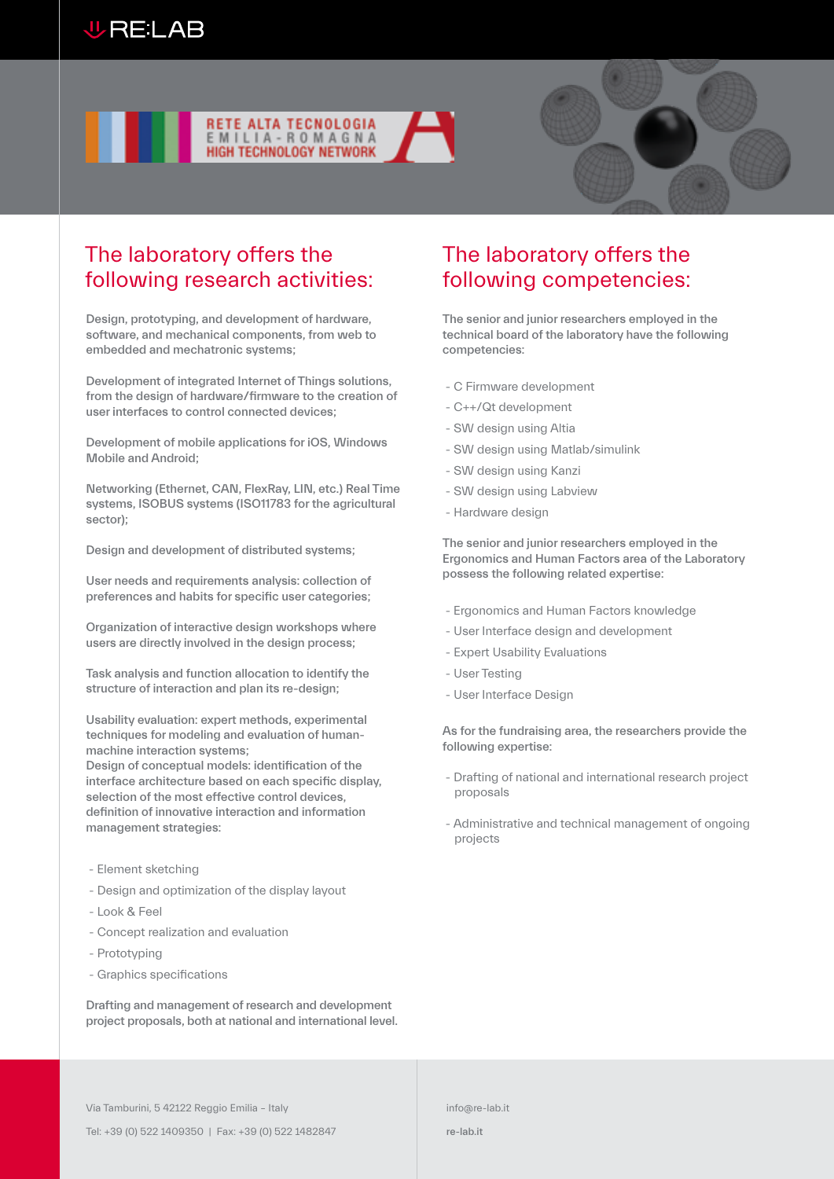





# The laboratory offers the following research activities:

Design, prototyping, and development of hardware, software, and mechanical components, from web to embedded and mechatronic systems;

Development of integrated Internet of Things solutions, from the design of hardware/firmware to the creation of user interfaces to control connected devices;

Development of mobile applications for iOS, Windows Mobile and Android;

Networking (Ethernet, CAN, FlexRay, LIN, etc.) Real Time systems, ISOBUS systems (ISO11783 for the agricultural sector);

Design and development of distributed systems;

User needs and requirements analysis: collection of preferences and habits for specific user categories;

Organization of interactive design workshops where users are directly involved in the design process;

Task analysis and function allocation to identify the structure of interaction and plan its re-design;

Usability evaluation: expert methods, experimental techniques for modeling and evaluation of humanmachine interaction systems;

Design of conceptual models: identification of the interface architecture based on each specific display, selection of the most effective control devices, definition of innovative interaction and information management strategies:

- Element sketching
- Design and optimization of the display layout
- Look & Feel
- Concept realization and evaluation
- Prototyping
- Graphics specifications

Drafting and management of research and development project proposals, both at national and international level.

## The laboratory offers the following competencies:

The senior and junior researchers employed in the technical board of the laboratory have the following competencies:

- C Firmware development
- C++/Qt development
- SW design using Altia
- SW design using Matlab/simulink
- SW design using Kanzi
- SW design using Labview
- Hardware design

The senior and junior researchers employed in the Ergonomics and Human Factors area of the Laboratory possess the following related expertise:

- Ergonomics and Human Factors knowledge
- User Interface design and development
- Expert Usability Evaluations
- User Testing
- User Interface Design

As for the fundraising area, the researchers provide the following expertise:

- Drafting of national and international research project proposals
- Administrative and technical management of ongoing projects

Via Tamburini, 5 42122 Reggio Emilia – Italy

Tel: +39 (0) 522 1409350 | Fax: +39 (0) 522 1482847

re-lab.it